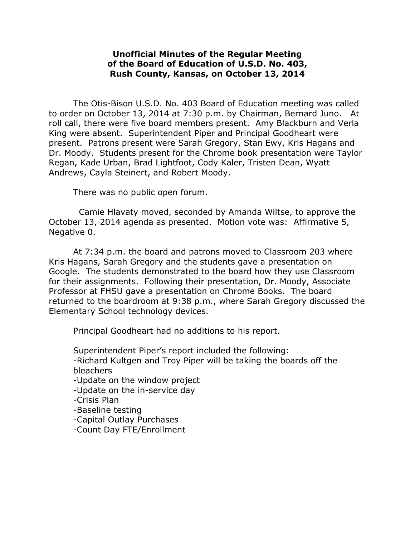## **Unofficial Minutes of the Regular Meeting of the Board of Education of U.S.D. No. 403, Rush County, Kansas, on October 13, 2014**

The Otis-Bison U.S.D. No. 403 Board of Education meeting was called to order on October 13, 2014 at 7:30 p.m. by Chairman, Bernard Juno. At roll call, there were five board members present. Amy Blackburn and Verla King were absent. Superintendent Piper and Principal Goodheart were present. Patrons present were Sarah Gregory, Stan Ewy, Kris Hagans and Dr. Moody. Students present for the Chrome book presentation were Taylor Regan, Kade Urban, Brad Lightfoot, Cody Kaler, Tristen Dean, Wyatt Andrews, Cayla Steinert, and Robert Moody.

There was no public open forum.

 Camie Hlavaty moved, seconded by Amanda Wiltse, to approve the October 13, 2014 agenda as presented. Motion vote was: Affirmative 5, Negative 0.

At 7:34 p.m. the board and patrons moved to Classroom 203 where Kris Hagans, Sarah Gregory and the students gave a presentation on Google. The students demonstrated to the board how they use Classroom for their assignments. Following their presentation, Dr. Moody, Associate Professor at FHSU gave a presentation on Chrome Books. The board returned to the boardroom at 9:38 p.m., where Sarah Gregory discussed the Elementary School technology devices.

Principal Goodheart had no additions to his report.

Superintendent Piper's report included the following: -Richard Kultgen and Troy Piper will be taking the boards off the bleachers

-Update on the window project

- -Update on the in-service day
- -Crisis Plan
- -Baseline testing
- -Capital Outlay Purchases

-Count Day FTE/Enrollment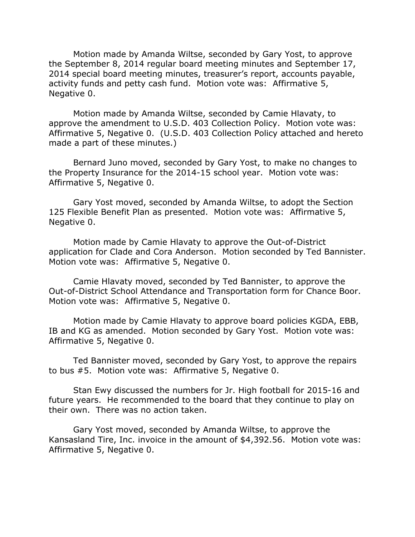Motion made by Amanda Wiltse, seconded by Gary Yost, to approve the September 8, 2014 regular board meeting minutes and September 17, 2014 special board meeting minutes, treasurer's report, accounts payable, activity funds and petty cash fund. Motion vote was: Affirmative 5, Negative 0.

Motion made by Amanda Wiltse, seconded by Camie Hlavaty, to approve the amendment to U.S.D. 403 Collection Policy. Motion vote was: Affirmative 5, Negative 0. (U.S.D. 403 Collection Policy attached and hereto made a part of these minutes.)

Bernard Juno moved, seconded by Gary Yost, to make no changes to the Property Insurance for the 2014-15 school year. Motion vote was: Affirmative 5, Negative 0.

Gary Yost moved, seconded by Amanda Wiltse, to adopt the Section 125 Flexible Benefit Plan as presented. Motion vote was: Affirmative 5, Negative 0.

Motion made by Camie Hlavaty to approve the Out-of-District application for Clade and Cora Anderson. Motion seconded by Ted Bannister. Motion vote was: Affirmative 5, Negative 0.

Camie Hlavaty moved, seconded by Ted Bannister, to approve the Out-of-District School Attendance and Transportation form for Chance Boor. Motion vote was: Affirmative 5, Negative 0.

Motion made by Camie Hlavaty to approve board policies KGDA, EBB, IB and KG as amended. Motion seconded by Gary Yost. Motion vote was: Affirmative 5, Negative 0.

Ted Bannister moved, seconded by Gary Yost, to approve the repairs to bus #5. Motion vote was: Affirmative 5, Negative 0.

Stan Ewy discussed the numbers for Jr. High football for 2015-16 and future years. He recommended to the board that they continue to play on their own. There was no action taken.

Gary Yost moved, seconded by Amanda Wiltse, to approve the Kansasland Tire, Inc. invoice in the amount of \$4,392.56. Motion vote was: Affirmative 5, Negative 0.